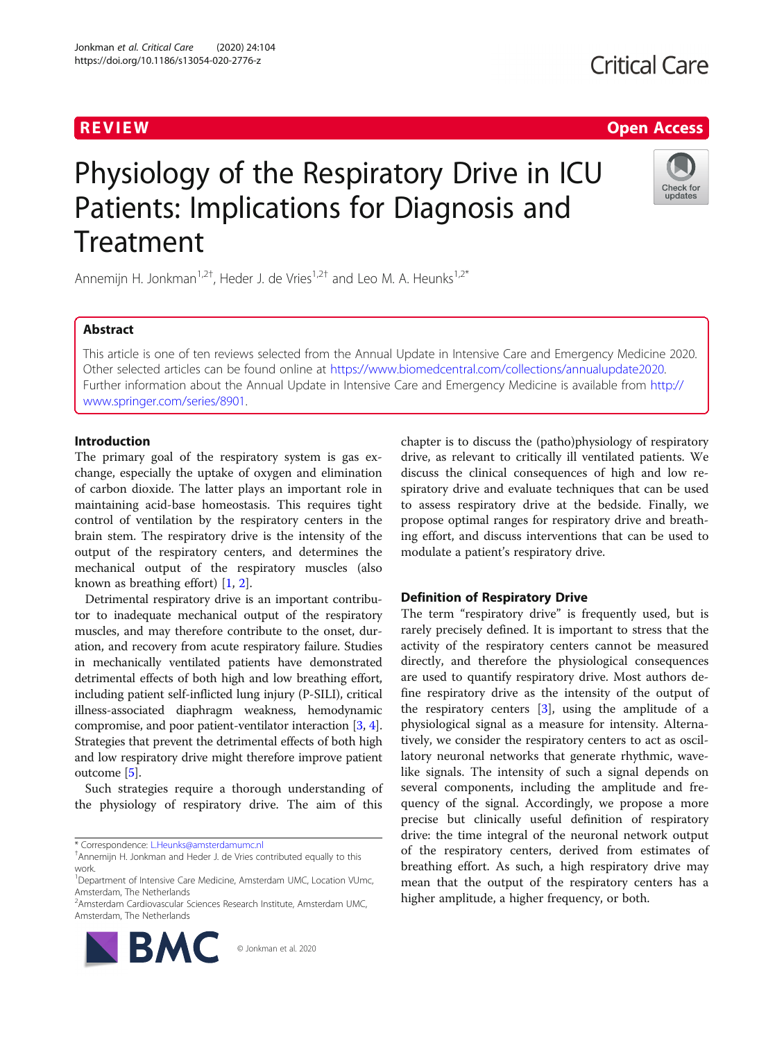# R EVI EW Open Access

## Physiology of the Respiratory Drive in ICU Patients: Implications for Diagnosis and Treatment

Annemijn H. Jonkman<sup>1,2†</sup>, Heder J. de Vries<sup>1,2†</sup> and Leo M. A. Heunks<sup>1,2\*</sup>

### Abstract

This article is one of ten reviews selected from the Annual Update in Intensive Care and Emergency Medicine 2020. Other selected articles can be found online at [https://www.biomedcentral.com/collections/annualupdate2020.](https://www.biomedcentral.com/collections/annualupdate2020) Further information about the Annual Update in Intensive Care and Emergency Medicine is available from [http://](http://www.springer.com/series/8901) [www.springer.com/series/8901](http://www.springer.com/series/8901).

#### Introduction

The primary goal of the respiratory system is gas exchange, especially the uptake of oxygen and elimination of carbon dioxide. The latter plays an important role in maintaining acid-base homeostasis. This requires tight control of ventilation by the respiratory centers in the brain stem. The respiratory drive is the intensity of the output of the respiratory centers, and determines the mechanical output of the respiratory muscles (also known as breathing effort) [[1](#page-8-0), [2](#page-8-0)].

Detrimental respiratory drive is an important contributor to inadequate mechanical output of the respiratory muscles, and may therefore contribute to the onset, duration, and recovery from acute respiratory failure. Studies in mechanically ventilated patients have demonstrated detrimental effects of both high and low breathing effort, including patient self-inflicted lung injury (P-SILI), critical illness-associated diaphragm weakness, hemodynamic compromise, and poor patient-ventilator interaction [\[3,](#page-8-0) [4](#page-8-0)]. Strategies that prevent the detrimental effects of both high and low respiratory drive might therefore improve patient outcome [\[5](#page-8-0)].

Such strategies require a thorough understanding of the physiology of respiratory drive. The aim of this

\* Correspondence: [L.Heunks@amsterdamumc.nl](mailto:L.Heunks@amsterdamumc.nl) †

<sup>&</sup>lt;sup>2</sup> Amsterdam Cardiovascular Sciences Research Institute, Amsterdam UMC, Amsterdam, The Netherlands



© Jonkman et al. 2020

chapter is to discuss the (patho)physiology of respiratory drive, as relevant to critically ill ventilated patients. We discuss the clinical consequences of high and low respiratory drive and evaluate techniques that can be used to assess respiratory drive at the bedside. Finally, we propose optimal ranges for respiratory drive and breathing effort, and discuss interventions that can be used to modulate a patient's respiratory drive.

#### Definition of Respiratory Drive

The term "respiratory drive" is frequently used, but is rarely precisely defined. It is important to stress that the activity of the respiratory centers cannot be measured directly, and therefore the physiological consequences are used to quantify respiratory drive. Most authors define respiratory drive as the intensity of the output of the respiratory centers [\[3](#page-8-0)], using the amplitude of a physiological signal as a measure for intensity. Alternatively, we consider the respiratory centers to act as oscillatory neuronal networks that generate rhythmic, wavelike signals. The intensity of such a signal depends on several components, including the amplitude and frequency of the signal. Accordingly, we propose a more precise but clinically useful definition of respiratory drive: the time integral of the neuronal network output of the respiratory centers, derived from estimates of breathing effort. As such, a high respiratory drive may mean that the output of the respiratory centers has a higher amplitude, a higher frequency, or both.



update:

<sup>&</sup>lt;sup>+</sup> Annemijn H. Jonkman and Heder J. de Vries contributed equally to this work.

<sup>&</sup>lt;sup>1</sup>Department of Intensive Care Medicine, Amsterdam UMC, Location VUmc, Amsterdam, The Netherlands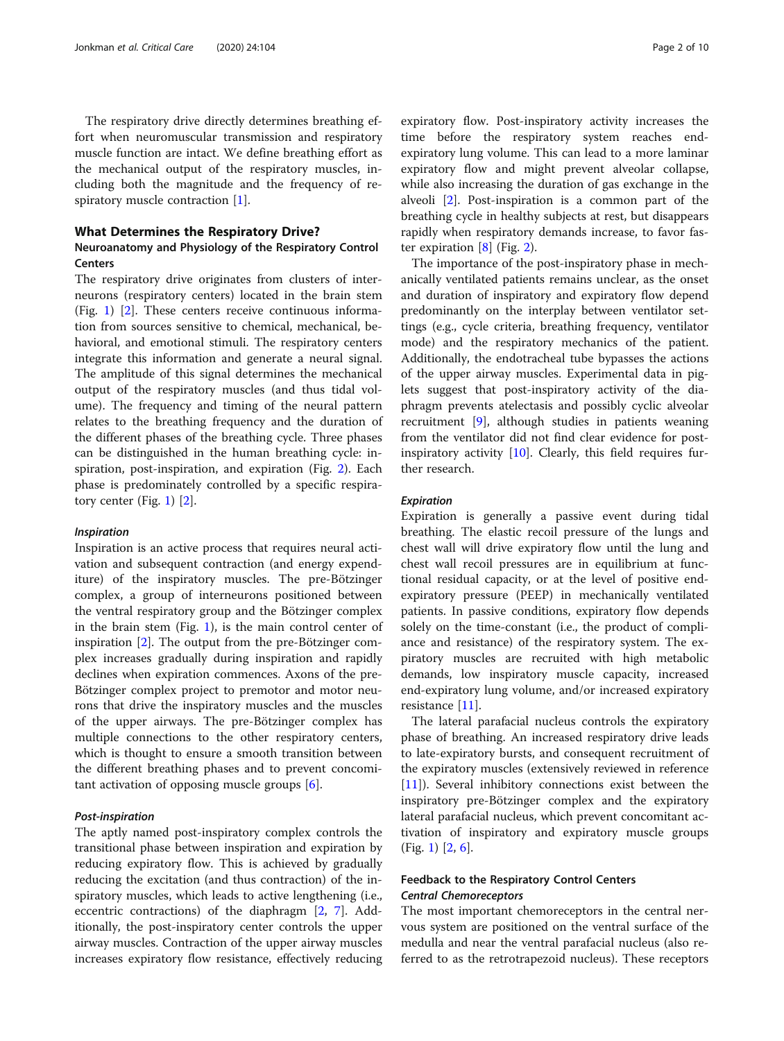The respiratory drive directly determines breathing effort when neuromuscular transmission and respiratory muscle function are intact. We define breathing effort as the mechanical output of the respiratory muscles, including both the magnitude and the frequency of respiratory muscle contraction [\[1](#page-8-0)].

#### What Determines the Respiratory Drive?

#### Neuroanatomy and Physiology of the Respiratory Control **Centers**

The respiratory drive originates from clusters of interneurons (respiratory centers) located in the brain stem (Fig. [1\)](#page-2-0) [[2](#page-8-0)]. These centers receive continuous information from sources sensitive to chemical, mechanical, behavioral, and emotional stimuli. The respiratory centers integrate this information and generate a neural signal. The amplitude of this signal determines the mechanical output of the respiratory muscles (and thus tidal volume). The frequency and timing of the neural pattern relates to the breathing frequency and the duration of the different phases of the breathing cycle. Three phases can be distinguished in the human breathing cycle: inspiration, post-inspiration, and expiration (Fig. [2](#page-3-0)). Each phase is predominately controlled by a specific respira-tory center (Fig. [1\)](#page-2-0)  $[2]$  $[2]$ .

#### Inspiration

Inspiration is an active process that requires neural activation and subsequent contraction (and energy expenditure) of the inspiratory muscles. The pre-Bötzinger complex, a group of interneurons positioned between the ventral respiratory group and the Bötzinger complex in the brain stem (Fig. [1\)](#page-2-0), is the main control center of inspiration [\[2\]](#page-8-0). The output from the pre-Bötzinger complex increases gradually during inspiration and rapidly declines when expiration commences. Axons of the pre-Bötzinger complex project to premotor and motor neurons that drive the inspiratory muscles and the muscles of the upper airways. The pre-Bötzinger complex has multiple connections to the other respiratory centers, which is thought to ensure a smooth transition between the different breathing phases and to prevent concomitant activation of opposing muscle groups [[6\]](#page-8-0).

#### Post-inspiration

The aptly named post-inspiratory complex controls the transitional phase between inspiration and expiration by reducing expiratory flow. This is achieved by gradually reducing the excitation (and thus contraction) of the inspiratory muscles, which leads to active lengthening (i.e., eccentric contractions) of the diaphragm [[2,](#page-8-0) [7\]](#page-8-0). Additionally, the post-inspiratory center controls the upper airway muscles. Contraction of the upper airway muscles increases expiratory flow resistance, effectively reducing

expiratory flow. Post-inspiratory activity increases the time before the respiratory system reaches endexpiratory lung volume. This can lead to a more laminar expiratory flow and might prevent alveolar collapse, while also increasing the duration of gas exchange in the alveoli [[2](#page-8-0)]. Post-inspiration is a common part of the breathing cycle in healthy subjects at rest, but disappears rapidly when respiratory demands increase, to favor faster expiration  $[8]$  $[8]$  (Fig. [2\)](#page-3-0).

The importance of the post-inspiratory phase in mechanically ventilated patients remains unclear, as the onset and duration of inspiratory and expiratory flow depend predominantly on the interplay between ventilator settings (e.g., cycle criteria, breathing frequency, ventilator mode) and the respiratory mechanics of the patient. Additionally, the endotracheal tube bypasses the actions of the upper airway muscles. Experimental data in piglets suggest that post-inspiratory activity of the diaphragm prevents atelectasis and possibly cyclic alveolar recruitment [[9\]](#page-8-0), although studies in patients weaning from the ventilator did not find clear evidence for postinspiratory activity  $[10]$  $[10]$ . Clearly, this field requires further research.

#### Expiration

Expiration is generally a passive event during tidal breathing. The elastic recoil pressure of the lungs and chest wall will drive expiratory flow until the lung and chest wall recoil pressures are in equilibrium at functional residual capacity, or at the level of positive endexpiratory pressure (PEEP) in mechanically ventilated patients. In passive conditions, expiratory flow depends solely on the time-constant (i.e., the product of compliance and resistance) of the respiratory system. The expiratory muscles are recruited with high metabolic demands, low inspiratory muscle capacity, increased end-expiratory lung volume, and/or increased expiratory resistance [[11\]](#page-8-0).

The lateral parafacial nucleus controls the expiratory phase of breathing. An increased respiratory drive leads to late-expiratory bursts, and consequent recruitment of the expiratory muscles (extensively reviewed in reference [[11\]](#page-8-0)). Several inhibitory connections exist between the inspiratory pre-Bötzinger complex and the expiratory lateral parafacial nucleus, which prevent concomitant activation of inspiratory and expiratory muscle groups  $(Fig. 1) [2, 6].$  $(Fig. 1) [2, 6].$  $(Fig. 1) [2, 6].$  $(Fig. 1) [2, 6].$  $(Fig. 1) [2, 6].$  $(Fig. 1) [2, 6].$  $(Fig. 1) [2, 6].$ 

#### Feedback to the Respiratory Control Centers Central Chemoreceptors

The most important chemoreceptors in the central nervous system are positioned on the ventral surface of the medulla and near the ventral parafacial nucleus (also referred to as the retrotrapezoid nucleus). These receptors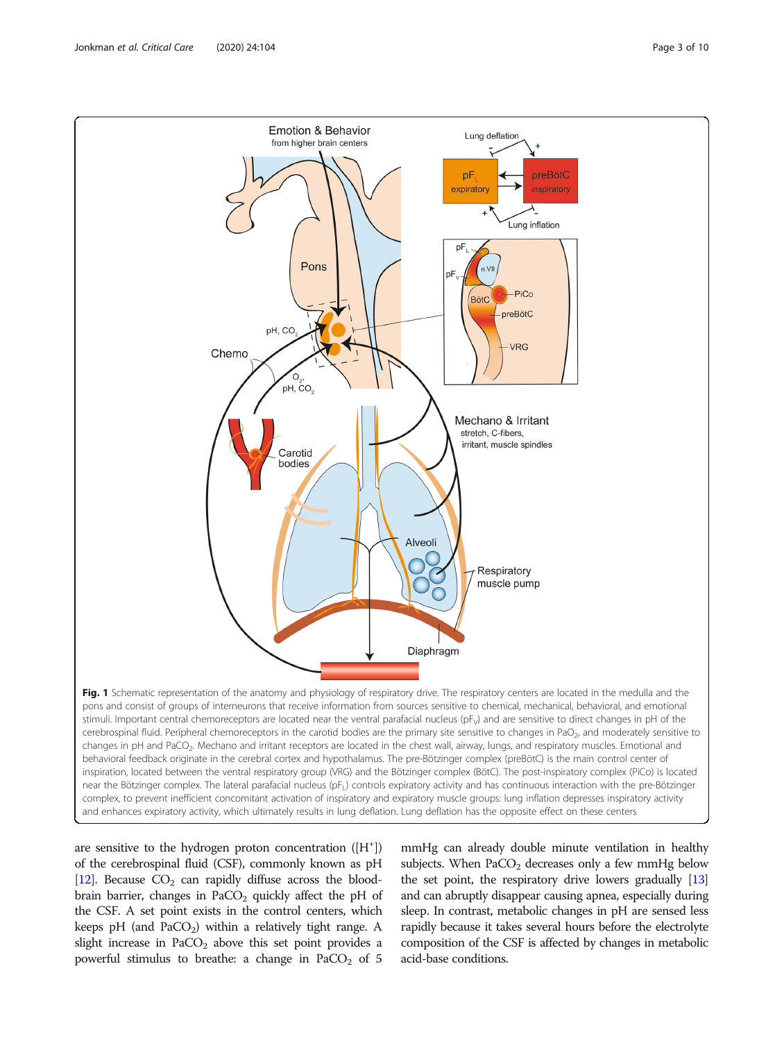<span id="page-2-0"></span>

are sensitive to the hydrogen proton concentration ([H<sup>+</sup>]) of the cerebrospinal fluid (CSF), commonly known as pH [[12](#page-8-0)]. Because  $CO<sub>2</sub>$  can rapidly diffuse across the bloodbrain barrier, changes in  $PaCO<sub>2</sub>$  quickly affect the pH of the CSF. A set point exists in the control centers, which keeps pH (and  $PaCO<sub>2</sub>$ ) within a relatively tight range. A slight increase in  $PaCO<sub>2</sub>$  above this set point provides a powerful stimulus to breathe: a change in  $PaCO<sub>2</sub>$  of 5

mmHg can already double minute ventilation in healthy subjects. When  $PaCO<sub>2</sub>$  decreases only a few mmHg below the set point, the respiratory drive lowers gradually [\[13](#page-8-0)] and can abruptly disappear causing apnea, especially during sleep. In contrast, metabolic changes in pH are sensed less rapidly because it takes several hours before the electrolyte composition of the CSF is affected by changes in metabolic acid-base conditions.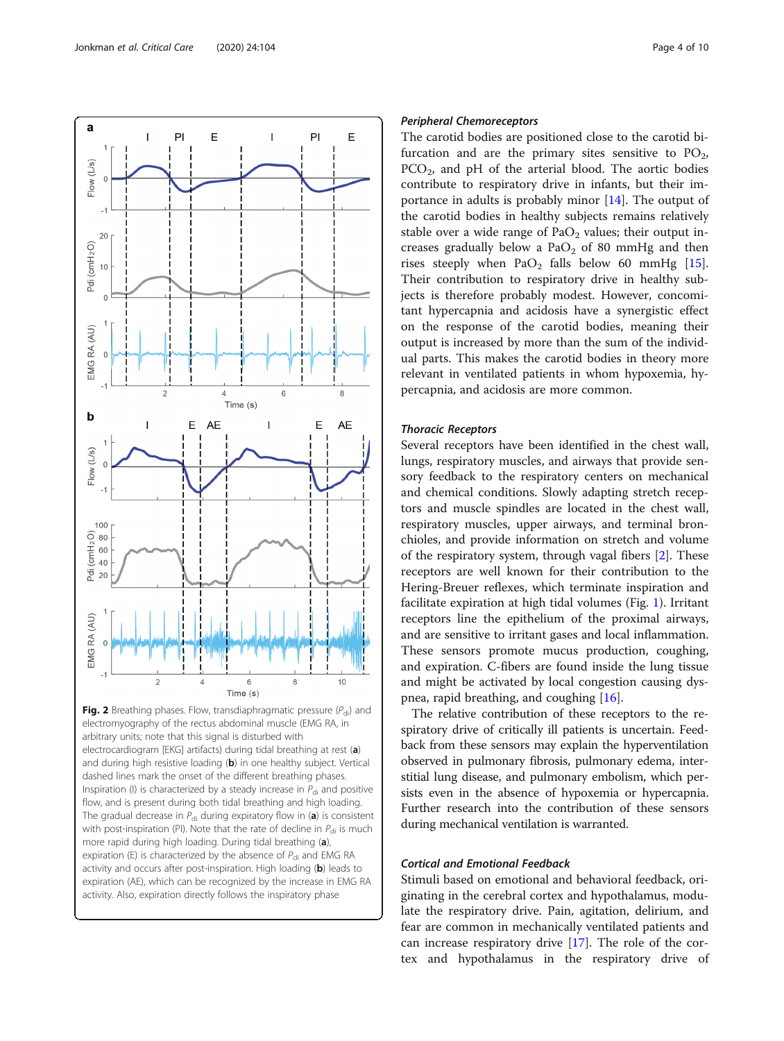<span id="page-3-0"></span>

Fig. 2 Breathing phases. Flow, transdiaphragmatic pressure  $(P_{di})$  and electromyography of the rectus abdominal muscle (EMG RA, in arbitrary units; note that this signal is disturbed with electrocardiogram [EKG] artifacts) during tidal breathing at rest (a) and during high resistive loading  $(b)$  in one healthy subject. Vertical dashed lines mark the onset of the different breathing phases. Inspiration (I) is characterized by a steady increase in  $P_{di}$  and positive flow, and is present during both tidal breathing and high loading. The gradual decrease in  $P_{di}$  during expiratory flow in (a) is consistent with post-inspiration (PI). Note that the rate of decline in  $P_{di}$  is much more rapid during high loading. During tidal breathing (a), expiration (E) is characterized by the absence of  $P_{di}$  and EMG RA activity and occurs after post-inspiration. High loading (b) leads to expiration (AE), which can be recognized by the increase in EMG RA activity. Also, expiration directly follows the inspiratory phase

#### Peripheral Chemoreceptors

The carotid bodies are positioned close to the carotid bifurcation and are the primary sites sensitive to  $PO<sub>2</sub>$ ,  $PCO<sub>2</sub>$ , and pH of the arterial blood. The aortic bodies contribute to respiratory drive in infants, but their importance in adults is probably minor [\[14](#page-8-0)]. The output of the carotid bodies in healthy subjects remains relatively stable over a wide range of  $PaO<sub>2</sub>$  values; their output increases gradually below a  $PaO<sub>2</sub>$  of 80 mmHg and then rises steeply when  $PaO<sub>2</sub>$  falls below 60 mmHg [\[15](#page-8-0)]. Their contribution to respiratory drive in healthy subjects is therefore probably modest. However, concomitant hypercapnia and acidosis have a synergistic effect on the response of the carotid bodies, meaning their output is increased by more than the sum of the individual parts. This makes the carotid bodies in theory more relevant in ventilated patients in whom hypoxemia, hypercapnia, and acidosis are more common.

#### Thoracic Receptors

Several receptors have been identified in the chest wall, lungs, respiratory muscles, and airways that provide sensory feedback to the respiratory centers on mechanical and chemical conditions. Slowly adapting stretch receptors and muscle spindles are located in the chest wall, respiratory muscles, upper airways, and terminal bronchioles, and provide information on stretch and volume of the respiratory system, through vagal fibers [[2\]](#page-8-0). These receptors are well known for their contribution to the Hering-Breuer reflexes, which terminate inspiration and facilitate expiration at high tidal volumes (Fig. [1\)](#page-2-0). Irritant receptors line the epithelium of the proximal airways, and are sensitive to irritant gases and local inflammation. These sensors promote mucus production, coughing, and expiration. C-fibers are found inside the lung tissue and might be activated by local congestion causing dyspnea, rapid breathing, and coughing [[16\]](#page-8-0).

The relative contribution of these receptors to the respiratory drive of critically ill patients is uncertain. Feedback from these sensors may explain the hyperventilation observed in pulmonary fibrosis, pulmonary edema, interstitial lung disease, and pulmonary embolism, which persists even in the absence of hypoxemia or hypercapnia. Further research into the contribution of these sensors during mechanical ventilation is warranted.

#### Cortical and Emotional Feedback

Stimuli based on emotional and behavioral feedback, originating in the cerebral cortex and hypothalamus, modulate the respiratory drive. Pain, agitation, delirium, and fear are common in mechanically ventilated patients and can increase respiratory drive [[17\]](#page-8-0). The role of the cortex and hypothalamus in the respiratory drive of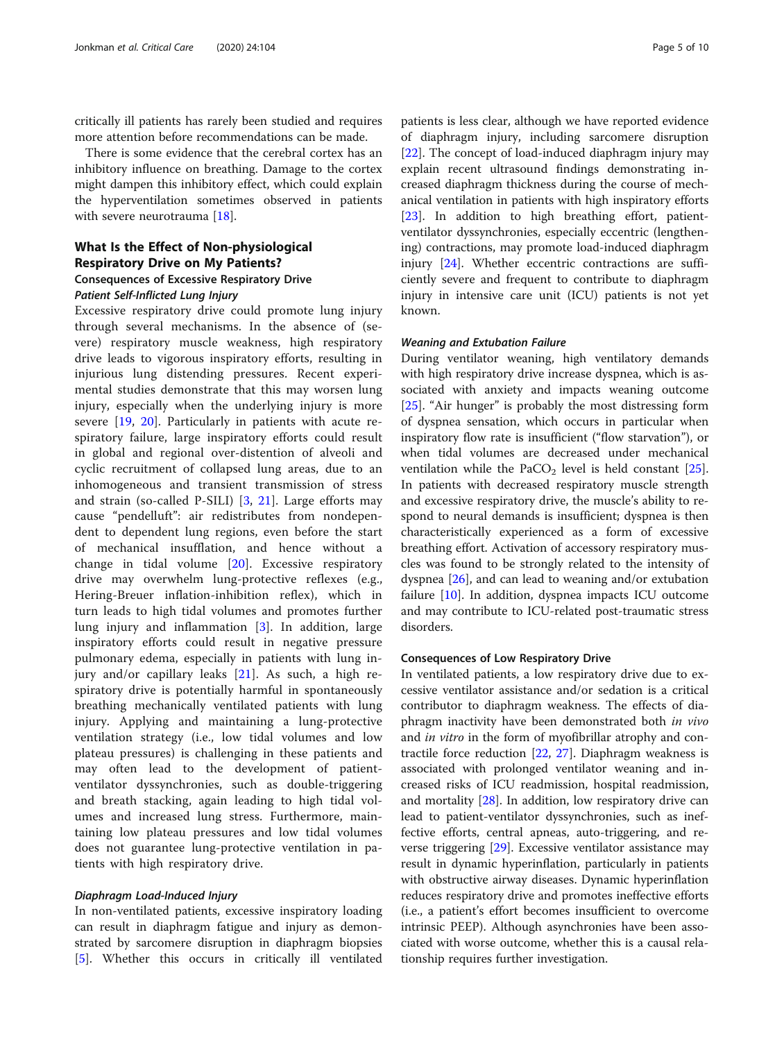critically ill patients has rarely been studied and requires more attention before recommendations can be made.

There is some evidence that the cerebral cortex has an inhibitory influence on breathing. Damage to the cortex might dampen this inhibitory effect, which could explain the hyperventilation sometimes observed in patients with severe neurotrauma [[18\]](#page-8-0).

#### What Is the Effect of Non-physiological Respiratory Drive on My Patients? Consequences of Excessive Respiratory Drive

#### Patient Self-Inflicted Lung Injury

Excessive respiratory drive could promote lung injury through several mechanisms. In the absence of (severe) respiratory muscle weakness, high respiratory drive leads to vigorous inspiratory efforts, resulting in injurious lung distending pressures. Recent experimental studies demonstrate that this may worsen lung injury, especially when the underlying injury is more severe [\[19](#page-8-0), [20\]](#page-8-0). Particularly in patients with acute respiratory failure, large inspiratory efforts could result in global and regional over-distention of alveoli and cyclic recruitment of collapsed lung areas, due to an inhomogeneous and transient transmission of stress and strain (so-called P-SILI) [[3,](#page-8-0) [21](#page-8-0)]. Large efforts may cause "pendelluft": air redistributes from nondependent to dependent lung regions, even before the start of mechanical insufflation, and hence without a change in tidal volume [\[20](#page-8-0)]. Excessive respiratory drive may overwhelm lung-protective reflexes (e.g., Hering-Breuer inflation-inhibition reflex), which in turn leads to high tidal volumes and promotes further lung injury and inflammation [[3](#page-8-0)]. In addition, large inspiratory efforts could result in negative pressure pulmonary edema, especially in patients with lung injury and/or capillary leaks [\[21](#page-8-0)]. As such, a high respiratory drive is potentially harmful in spontaneously breathing mechanically ventilated patients with lung injury. Applying and maintaining a lung-protective ventilation strategy (i.e., low tidal volumes and low plateau pressures) is challenging in these patients and may often lead to the development of patientventilator dyssynchronies, such as double-triggering and breath stacking, again leading to high tidal volumes and increased lung stress. Furthermore, maintaining low plateau pressures and low tidal volumes does not guarantee lung-protective ventilation in patients with high respiratory drive.

#### Diaphragm Load-Induced Injury

In non-ventilated patients, excessive inspiratory loading can result in diaphragm fatigue and injury as demonstrated by sarcomere disruption in diaphragm biopsies [[5\]](#page-8-0). Whether this occurs in critically ill ventilated patients is less clear, although we have reported evidence of diaphragm injury, including sarcomere disruption [[22\]](#page-8-0). The concept of load-induced diaphragm injury may explain recent ultrasound findings demonstrating increased diaphragm thickness during the course of mechanical ventilation in patients with high inspiratory efforts [[23\]](#page-8-0). In addition to high breathing effort, patientventilator dyssynchronies, especially eccentric (lengthening) contractions, may promote load-induced diaphragm injury [\[24](#page-8-0)]. Whether eccentric contractions are sufficiently severe and frequent to contribute to diaphragm injury in intensive care unit (ICU) patients is not yet known.

#### Weaning and Extubation Failure

During ventilator weaning, high ventilatory demands with high respiratory drive increase dyspnea, which is associated with anxiety and impacts weaning outcome [[25\]](#page-8-0). "Air hunger" is probably the most distressing form of dyspnea sensation, which occurs in particular when inspiratory flow rate is insufficient ("flow starvation"), or when tidal volumes are decreased under mechanical ventilation while the  $PaCO<sub>2</sub>$  level is held constant [\[25](#page-8-0)]. In patients with decreased respiratory muscle strength and excessive respiratory drive, the muscle's ability to respond to neural demands is insufficient; dyspnea is then characteristically experienced as a form of excessive breathing effort. Activation of accessory respiratory muscles was found to be strongly related to the intensity of dyspnea [[26\]](#page-8-0), and can lead to weaning and/or extubation failure [[10](#page-8-0)]. In addition, dyspnea impacts ICU outcome and may contribute to ICU-related post-traumatic stress disorders.

#### Consequences of Low Respiratory Drive

In ventilated patients, a low respiratory drive due to excessive ventilator assistance and/or sedation is a critical contributor to diaphragm weakness. The effects of diaphragm inactivity have been demonstrated both in vivo and in vitro in the form of myofibrillar atrophy and contractile force reduction [[22,](#page-8-0) [27](#page-8-0)]. Diaphragm weakness is associated with prolonged ventilator weaning and increased risks of ICU readmission, hospital readmission, and mortality [[28](#page-8-0)]. In addition, low respiratory drive can lead to patient-ventilator dyssynchronies, such as ineffective efforts, central apneas, auto-triggering, and reverse triggering [\[29](#page-8-0)]. Excessive ventilator assistance may result in dynamic hyperinflation, particularly in patients with obstructive airway diseases. Dynamic hyperinflation reduces respiratory drive and promotes ineffective efforts (i.e., a patient's effort becomes insufficient to overcome intrinsic PEEP). Although asynchronies have been associated with worse outcome, whether this is a causal relationship requires further investigation.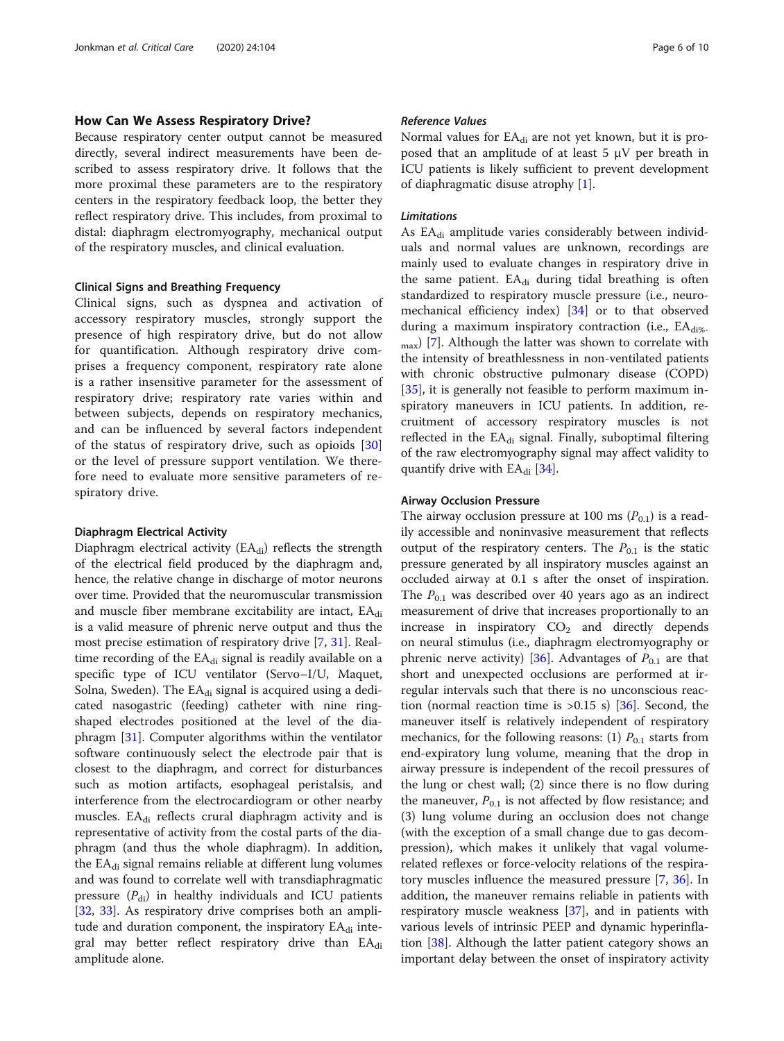#### How Can We Assess Respiratory Drive?

Because respiratory center output cannot be measured directly, several indirect measurements have been described to assess respiratory drive. It follows that the more proximal these parameters are to the respiratory centers in the respiratory feedback loop, the better they reflect respiratory drive. This includes, from proximal to distal: diaphragm electromyography, mechanical output of the respiratory muscles, and clinical evaluation.

#### Clinical Signs and Breathing Frequency

Clinical signs, such as dyspnea and activation of accessory respiratory muscles, strongly support the presence of high respiratory drive, but do not allow for quantification. Although respiratory drive comprises a frequency component, respiratory rate alone is a rather insensitive parameter for the assessment of respiratory drive; respiratory rate varies within and between subjects, depends on respiratory mechanics, and can be influenced by several factors independent of the status of respiratory drive, such as opioids [\[30](#page-8-0)] or the level of pressure support ventilation. We therefore need to evaluate more sensitive parameters of respiratory drive.

#### Diaphragm Electrical Activity

Diaphragm electrical activity  $(EA_{di})$  reflects the strength of the electrical field produced by the diaphragm and, hence, the relative change in discharge of motor neurons over time. Provided that the neuromuscular transmission and muscle fiber membrane excitability are intact,  $EA_{di}$ is a valid measure of phrenic nerve output and thus the most precise estimation of respiratory drive [\[7](#page-8-0), [31](#page-8-0)]. Realtime recording of the  $EA_{di}$  signal is readily available on a specific type of ICU ventilator (Servo–I/U, Maquet, Solna, Sweden). The  $EA_{di}$  signal is acquired using a dedicated nasogastric (feeding) catheter with nine ringshaped electrodes positioned at the level of the diaphragm [[31\]](#page-8-0). Computer algorithms within the ventilator software continuously select the electrode pair that is closest to the diaphragm, and correct for disturbances such as motion artifacts, esophageal peristalsis, and interference from the electrocardiogram or other nearby muscles.  $EA_{di}$  reflects crural diaphragm activity and is representative of activity from the costal parts of the diaphragm (and thus the whole diaphragm). In addition, the  $EA_{di}$  signal remains reliable at different lung volumes and was found to correlate well with transdiaphragmatic pressure  $(P_{di})$  in healthy individuals and ICU patients [[32,](#page-8-0) [33\]](#page-9-0). As respiratory drive comprises both an amplitude and duration component, the inspiratory  $EA_{di}$  integral may better reflect respiratory drive than  $EA_{di}$ amplitude alone.

#### Reference Values

Normal values for  $EA_{di}$  are not yet known, but it is proposed that an amplitude of at least 5  $\mu$ V per breath in ICU patients is likely sufficient to prevent development of diaphragmatic disuse atrophy [\[1](#page-8-0)].

#### Limitations

As  $EA_{di}$  amplitude varies considerably between individuals and normal values are unknown, recordings are mainly used to evaluate changes in respiratory drive in the same patient.  $EA_{di}$  during tidal breathing is often standardized to respiratory muscle pressure (i.e., neuromechanical efficiency index) [\[34](#page-9-0)] or to that observed during a maximum inspiratory contraction (i.e.,  $EA_{di\%f}$  $_{\text{max}}$ ) [\[7](#page-8-0)]. Although the latter was shown to correlate with the intensity of breathlessness in non-ventilated patients with chronic obstructive pulmonary disease (COPD) [[35\]](#page-9-0), it is generally not feasible to perform maximum inspiratory maneuvers in ICU patients. In addition, recruitment of accessory respiratory muscles is not reflected in the EA<sub>di</sub> signal. Finally, suboptimal filtering of the raw electromyography signal may affect validity to quantify drive with  $EA_{di}$  [[34](#page-9-0)].

#### Airway Occlusion Pressure

The airway occlusion pressure at 100 ms  $(P_{0,1})$  is a readily accessible and noninvasive measurement that reflects output of the respiratory centers. The  $P_{0,1}$  is the static pressure generated by all inspiratory muscles against an occluded airway at 0.1 s after the onset of inspiration. The  $P_{0,1}$  was described over 40 years ago as an indirect measurement of drive that increases proportionally to an increase in inspiratory  $CO<sub>2</sub>$  and directly depends on neural stimulus (i.e., diaphragm electromyography or phrenic nerve activity) [[36](#page-9-0)]. Advantages of  $P_{0,1}$  are that short and unexpected occlusions are performed at irregular intervals such that there is no unconscious reaction (normal reaction time is  $>0.15$  s) [[36\]](#page-9-0). Second, the maneuver itself is relatively independent of respiratory mechanics, for the following reasons: (1)  $P_{0,1}$  starts from end-expiratory lung volume, meaning that the drop in airway pressure is independent of the recoil pressures of the lung or chest wall; (2) since there is no flow during the maneuver,  $P_{0,1}$  is not affected by flow resistance; and (3) lung volume during an occlusion does not change (with the exception of a small change due to gas decompression), which makes it unlikely that vagal volumerelated reflexes or force-velocity relations of the respiratory muscles influence the measured pressure [[7,](#page-8-0) [36](#page-9-0)]. In addition, the maneuver remains reliable in patients with respiratory muscle weakness [\[37](#page-9-0)], and in patients with various levels of intrinsic PEEP and dynamic hyperinflation  $[38]$  $[38]$ . Although the latter patient category shows an important delay between the onset of inspiratory activity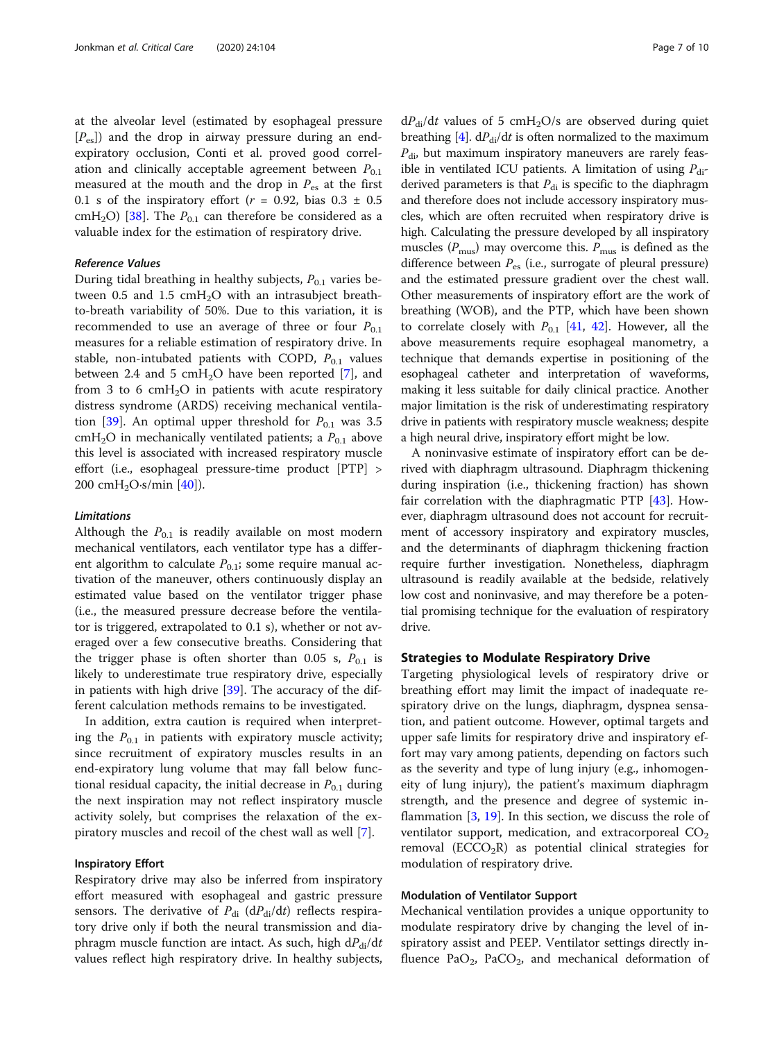at the alveolar level (estimated by esophageal pressure  $[P_{\text{es}}]$ ) and the drop in airway pressure during an endexpiratory occlusion, Conti et al. proved good correlation and clinically acceptable agreement between  $P_{0,1}$ measured at the mouth and the drop in  $P_{es}$  at the first 0.1 s of the inspiratory effort ( $r = 0.92$ , bias  $0.3 \pm 0.5$ cmH<sub>2</sub>O) [\[38\]](#page-9-0). The  $P_{0,1}$  can therefore be considered as a valuable index for the estimation of respiratory drive.

#### Reference Values

During tidal breathing in healthy subjects,  $P_{0,1}$  varies between 0.5 and 1.5 cmH<sub>2</sub>O with an intrasubject breathto-breath variability of 50%. Due to this variation, it is recommended to use an average of three or four  $P_{0.1}$ measures for a reliable estimation of respiratory drive. In stable, non-intubated patients with COPD,  $P_{0.1}$  values between 2.4 and 5 cmH<sub>2</sub>O have been reported [\[7](#page-8-0)], and from 3 to 6 cmH<sub>2</sub>O in patients with acute respiratory distress syndrome (ARDS) receiving mechanical ventila-tion [[39](#page-9-0)]. An optimal upper threshold for  $P_{0,1}$  was 3.5 cmH<sub>2</sub>O in mechanically ventilated patients; a  $P_{0.1}$  above this level is associated with increased respiratory muscle effort (i.e., esophageal pressure-time product [PTP] > 200 cmH2O∙s/min [[40](#page-9-0)]).

#### Limitations

Although the  $P_{0.1}$  is readily available on most modern mechanical ventilators, each ventilator type has a different algorithm to calculate  $P_{0,1}$ ; some require manual activation of the maneuver, others continuously display an estimated value based on the ventilator trigger phase (i.e., the measured pressure decrease before the ventilator is triggered, extrapolated to 0.1 s), whether or not averaged over a few consecutive breaths. Considering that the trigger phase is often shorter than 0.05 s,  $P_{0.1}$  is likely to underestimate true respiratory drive, especially in patients with high drive  $[39]$  $[39]$ . The accuracy of the different calculation methods remains to be investigated.

In addition, extra caution is required when interpreting the  $P_{0,1}$  in patients with expiratory muscle activity; since recruitment of expiratory muscles results in an end-expiratory lung volume that may fall below functional residual capacity, the initial decrease in  $P_{0,1}$  during the next inspiration may not reflect inspiratory muscle activity solely, but comprises the relaxation of the expiratory muscles and recoil of the chest wall as well [\[7](#page-8-0)].

#### Inspiratory Effort

Respiratory drive may also be inferred from inspiratory effort measured with esophageal and gastric pressure sensors. The derivative of  $P_{di}$  (d $P_{di}/dt$ ) reflects respiratory drive only if both the neural transmission and diaphragm muscle function are intact. As such, high  $dP_{di}/dt$ values reflect high respiratory drive. In healthy subjects,

 $dP_{di}/dt$  values of 5 cmH<sub>2</sub>O/s are observed during quiet breathing [\[4](#page-8-0)].  $dP_{di}/dt$  is often normalized to the maximum  $P_{\text{di}}$ , but maximum inspiratory maneuvers are rarely feasible in ventilated ICU patients. A limitation of using  $P_{di}$ derived parameters is that  $P_{di}$  is specific to the diaphragm and therefore does not include accessory inspiratory muscles, which are often recruited when respiratory drive is high. Calculating the pressure developed by all inspiratory muscles ( $P_{\text{mus}}$ ) may overcome this.  $P_{\text{mus}}$  is defined as the difference between  $P_{\text{es}}$  (i.e., surrogate of pleural pressure) and the estimated pressure gradient over the chest wall. Other measurements of inspiratory effort are the work of breathing (WOB), and the PTP, which have been shown to correlate closely with  $P_{0,1}$  [\[41,](#page-9-0) [42](#page-9-0)]. However, all the above measurements require esophageal manometry, a technique that demands expertise in positioning of the esophageal catheter and interpretation of waveforms, making it less suitable for daily clinical practice. Another major limitation is the risk of underestimating respiratory drive in patients with respiratory muscle weakness; despite a high neural drive, inspiratory effort might be low.

A noninvasive estimate of inspiratory effort can be derived with diaphragm ultrasound. Diaphragm thickening during inspiration (i.e., thickening fraction) has shown fair correlation with the diaphragmatic PTP [\[43](#page-9-0)]. However, diaphragm ultrasound does not account for recruitment of accessory inspiratory and expiratory muscles, and the determinants of diaphragm thickening fraction require further investigation. Nonetheless, diaphragm ultrasound is readily available at the bedside, relatively low cost and noninvasive, and may therefore be a potential promising technique for the evaluation of respiratory drive.

#### Strategies to Modulate Respiratory Drive

Targeting physiological levels of respiratory drive or breathing effort may limit the impact of inadequate respiratory drive on the lungs, diaphragm, dyspnea sensation, and patient outcome. However, optimal targets and upper safe limits for respiratory drive and inspiratory effort may vary among patients, depending on factors such as the severity and type of lung injury (e.g., inhomogeneity of lung injury), the patient's maximum diaphragm strength, and the presence and degree of systemic inflammation  $[3, 19]$  $[3, 19]$  $[3, 19]$  $[3, 19]$ . In this section, we discuss the role of ventilator support, medication, and extracorporeal  $CO<sub>2</sub>$ removal ( $ECCO<sub>2</sub>R$ ) as potential clinical strategies for modulation of respiratory drive.

#### Modulation of Ventilator Support

Mechanical ventilation provides a unique opportunity to modulate respiratory drive by changing the level of inspiratory assist and PEEP. Ventilator settings directly influence  $PaO<sub>2</sub>$ ,  $PaCO<sub>2</sub>$ , and mechanical deformation of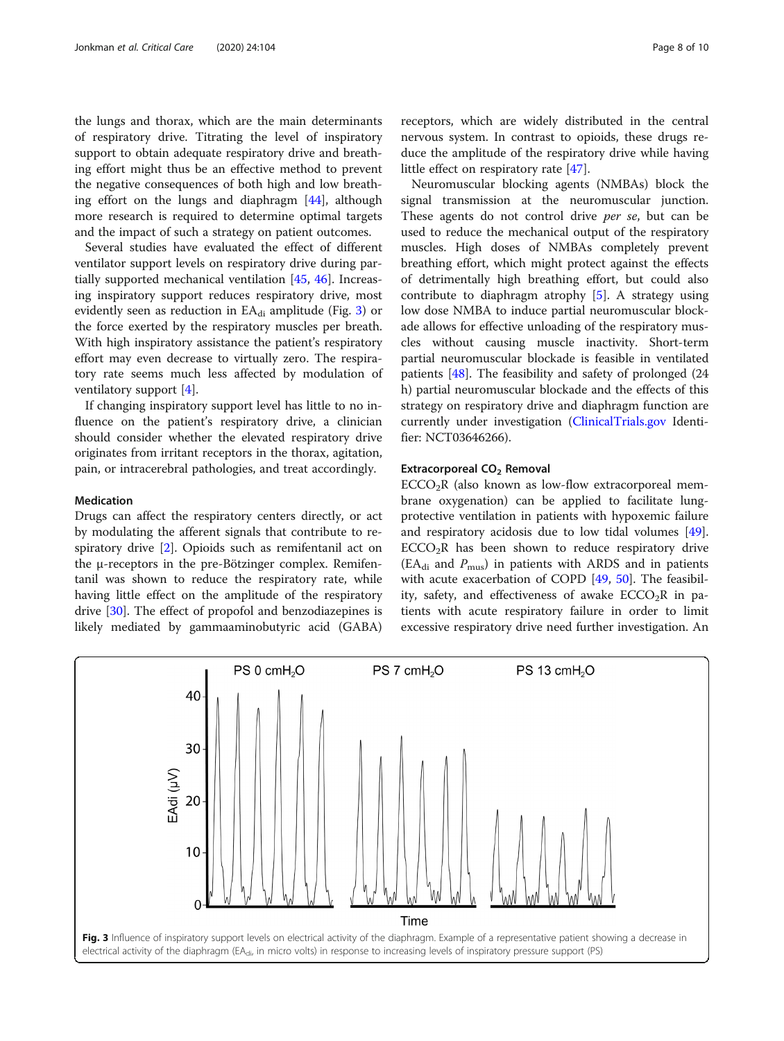the lungs and thorax, which are the main determinants of respiratory drive. Titrating the level of inspiratory support to obtain adequate respiratory drive and breathing effort might thus be an effective method to prevent the negative consequences of both high and low breathing effort on the lungs and diaphragm [\[44](#page-9-0)], although more research is required to determine optimal targets and the impact of such a strategy on patient outcomes.

Several studies have evaluated the effect of different ventilator support levels on respiratory drive during partially supported mechanical ventilation [[45](#page-9-0), [46\]](#page-9-0). Increasing inspiratory support reduces respiratory drive, most evidently seen as reduction in  $EA_{di}$  amplitude (Fig. 3) or the force exerted by the respiratory muscles per breath. With high inspiratory assistance the patient's respiratory effort may even decrease to virtually zero. The respiratory rate seems much less affected by modulation of ventilatory support [[4\]](#page-8-0).

If changing inspiratory support level has little to no influence on the patient's respiratory drive, a clinician should consider whether the elevated respiratory drive originates from irritant receptors in the thorax, agitation, pain, or intracerebral pathologies, and treat accordingly.

#### Medication

Drugs can affect the respiratory centers directly, or act by modulating the afferent signals that contribute to respiratory drive [\[2](#page-8-0)]. Opioids such as remifentanil act on the μ-receptors in the pre-Bötzinger complex. Remifentanil was shown to reduce the respiratory rate, while having little effect on the amplitude of the respiratory drive [\[30](#page-8-0)]. The effect of propofol and benzodiazepines is likely mediated by gammaaminobutyric acid (GABA)

receptors, which are widely distributed in the central nervous system. In contrast to opioids, these drugs reduce the amplitude of the respiratory drive while having little effect on respiratory rate [\[47](#page-9-0)].

Neuromuscular blocking agents (NMBAs) block the signal transmission at the neuromuscular junction. These agents do not control drive per se, but can be used to reduce the mechanical output of the respiratory muscles. High doses of NMBAs completely prevent breathing effort, which might protect against the effects of detrimentally high breathing effort, but could also contribute to diaphragm atrophy [\[5](#page-8-0)]. A strategy using low dose NMBA to induce partial neuromuscular blockade allows for effective unloading of the respiratory muscles without causing muscle inactivity. Short-term partial neuromuscular blockade is feasible in ventilated patients [[48](#page-9-0)]. The feasibility and safety of prolonged (24 h) partial neuromuscular blockade and the effects of this strategy on respiratory drive and diaphragm function are currently under investigation [\(ClinicalTrials.gov](http://clinicaltrials.gov) Identifier: NCT03646266).

#### Extracorporeal CO<sub>2</sub> Removal

 $ECCO<sub>2</sub>R$  (also known as low-flow extracorporeal membrane oxygenation) can be applied to facilitate lungprotective ventilation in patients with hypoxemic failure and respiratory acidosis due to low tidal volumes [\[49](#page-9-0)].  $ECCO<sub>2</sub>R$  has been shown to reduce respiratory drive  $(EA<sub>di</sub>$  and  $P<sub>mus</sub>$ ) in patients with ARDS and in patients with acute exacerbation of COPD [\[49](#page-9-0), [50\]](#page-9-0). The feasibility, safety, and effectiveness of awake  $ECCO<sub>2</sub>R$  in patients with acute respiratory failure in order to limit excessive respiratory drive need further investigation. An

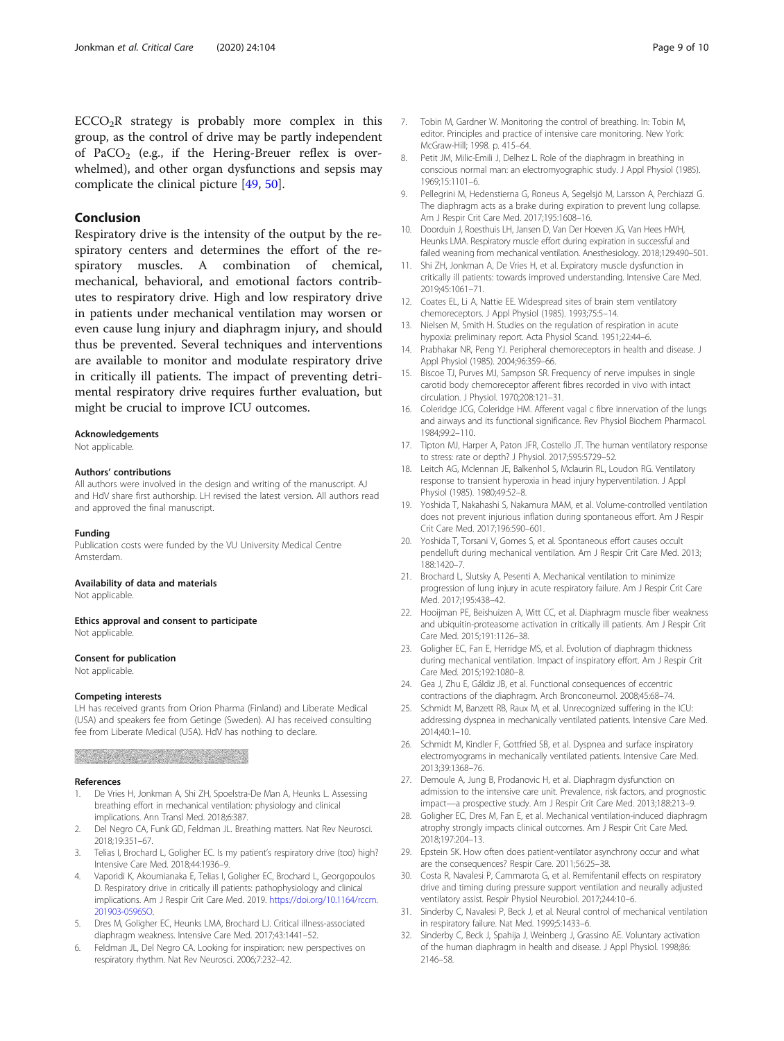<span id="page-8-0"></span> $ECCO<sub>2</sub>R$  strategy is probably more complex in this group, as the control of drive may be partly independent of PaCO<sub>2</sub> (e.g., if the Hering-Breuer reflex is overwhelmed), and other organ dysfunctions and sepsis may complicate the clinical picture [\[49](#page-9-0), [50](#page-9-0)].

#### Conclusion

Respiratory drive is the intensity of the output by the respiratory centers and determines the effort of the respiratory muscles. A combination of chemical, mechanical, behavioral, and emotional factors contributes to respiratory drive. High and low respiratory drive in patients under mechanical ventilation may worsen or even cause lung injury and diaphragm injury, and should thus be prevented. Several techniques and interventions are available to monitor and modulate respiratory drive in critically ill patients. The impact of preventing detrimental respiratory drive requires further evaluation, but might be crucial to improve ICU outcomes.

#### Acknowledgements

Not applicable.

#### Authors' contributions

All authors were involved in the design and writing of the manuscript. AJ and HdV share first authorship. LH revised the latest version. All authors read and approved the final manuscript.

#### Funding

Publication costs were funded by the VU University Medical Centre Amsterdam.

#### Availability of data and materials

Not applicable.

Ethics approval and consent to participate

Not applicable.

#### Consent for publication

Not applicable.

#### Competing interests

LH has received grants from Orion Pharma (Finland) and Liberate Medical (USA) and speakers fee from Getinge (Sweden). AJ has received consulting fee from Liberate Medical (USA). HdV has nothing to declare.

#### 

#### References

- 1. De Vries H, Jonkman A, Shi ZH, Spoelstra-De Man A, Heunks L. Assessing breathing effort in mechanical ventilation: physiology and clinical implications. Ann Transl Med. 2018;6:387.
- 2. Del Negro CA, Funk GD, Feldman JL. Breathing matters. Nat Rev Neurosci. 2018;19:351–67.
- Telias I, Brochard L, Goligher EC. Is my patient's respiratory drive (too) high? Intensive Care Med. 2018;44:1936–9.
- 4. Vaporidi K, Akoumianaka E, Telias I, Goligher EC, Brochard L, Georgopoulos D. Respiratory drive in critically ill patients: pathophysiology and clinical implications. Am J Respir Crit Care Med. 2019. [https://doi.org/10.1164/rccm.](https://doi.org/10.1164/rccm.201903-0596SO) [201903-0596SO.](https://doi.org/10.1164/rccm.201903-0596SO)
- Dres M, Goligher EC, Heunks LMA, Brochard LJ. Critical illness-associated diaphragm weakness. Intensive Care Med. 2017;43:1441–52.
- 6. Feldman JL, Del Negro CA. Looking for inspiration: new perspectives on respiratory rhythm. Nat Rev Neurosci. 2006;7:232–42.
- 7. Tobin M, Gardner W. Monitoring the control of breathing. In: Tobin M, editor. Principles and practice of intensive care monitoring. New York: McGraw-Hill; 1998. p. 415–64.
- 8. Petit JM, Milic-Emili J, Delhez L. Role of the diaphragm in breathing in conscious normal man: an electromyographic study. J Appl Physiol (1985). 1969;15:1101–6.
- 9. Pellegrini M, Hedenstierna G, Roneus A, Segelsjö M, Larsson A, Perchiazzi G. The diaphragm acts as a brake during expiration to prevent lung collapse. Am J Respir Crit Care Med. 2017;195:1608–16.
- 10. Doorduin J, Roesthuis LH, Jansen D, Van Der Hoeven JG, Van Hees HWH, Heunks LMA. Respiratory muscle effort during expiration in successful and failed weaning from mechanical ventilation. Anesthesiology. 2018;129:490–501.
- 11. Shi ZH, Jonkman A, De Vries H, et al. Expiratory muscle dysfunction in critically ill patients: towards improved understanding. Intensive Care Med. 2019;45:1061–71.
- 12. Coates EL, Li A, Nattie EE. Widespread sites of brain stem ventilatory chemoreceptors. J Appl Physiol (1985). 1993;75:5–14.
- 13. Nielsen M, Smith H. Studies on the regulation of respiration in acute hypoxia: preliminary report. Acta Physiol Scand. 1951;22:44–6.
- 14. Prabhakar NR, Peng YJ. Peripheral chemoreceptors in health and disease. J Appl Physiol (1985). 2004;96:359–66.
- 15. Biscoe TJ, Purves MJ, Sampson SR. Frequency of nerve impulses in single carotid body chemoreceptor afferent fibres recorded in vivo with intact circulation. J Physiol. 1970;208:121–31.
- 16. Coleridge JCG, Coleridge HM. Afferent vagal c fibre innervation of the lungs and airways and its functional significance. Rev Physiol Biochem Pharmacol. 1984;99:2–110.
- 17. Tipton MJ, Harper A, Paton JFR, Costello JT. The human ventilatory response to stress: rate or depth? J Physiol. 2017;595:5729–52.
- 18. Leitch AG, Mclennan JE, Balkenhol S, Mclaurin RL, Loudon RG. Ventilatory response to transient hyperoxia in head injury hyperventilation. J Appl Physiol (1985). 1980;49:52–8.
- 19. Yoshida T, Nakahashi S, Nakamura MAM, et al. Volume-controlled ventilation does not prevent injurious inflation during spontaneous effort. Am J Respir Crit Care Med. 2017;196:590–601.
- 20. Yoshida T, Torsani V, Gomes S, et al. Spontaneous effort causes occult pendelluft during mechanical ventilation. Am J Respir Crit Care Med. 2013; 188:1420–7.
- 21. Brochard L, Slutsky A, Pesenti A, Mechanical ventilation to minimize progression of lung injury in acute respiratory failure. Am J Respir Crit Care Med. 2017;195:438–42.
- 22. Hooijman PE, Beishuizen A, Witt CC, et al. Diaphragm muscle fiber weakness and ubiquitin-proteasome activation in critically ill patients. Am J Respir Crit Care Med. 2015;191:1126–38.
- 23. Goligher EC, Fan E, Herridge MS, et al. Evolution of diaphragm thickness during mechanical ventilation. Impact of inspiratory effort. Am J Respir Crit Care Med. 2015;192:1080–8.
- 24. Gea J, Zhu E, Gáldiz JB, et al. Functional consequences of eccentric contractions of the diaphragm. Arch Bronconeumol. 2008;45:68–74.
- 25. Schmidt M, Banzett RB, Raux M, et al. Unrecognized suffering in the ICU: addressing dyspnea in mechanically ventilated patients. Intensive Care Med. 2014;40:1–10.
- 26. Schmidt M, Kindler F, Gottfried SB, et al. Dyspnea and surface inspiratory electromyograms in mechanically ventilated patients. Intensive Care Med. 2013;39:1368–76.
- 27. Demoule A, Jung B, Prodanovic H, et al. Diaphragm dysfunction on admission to the intensive care unit. Prevalence, risk factors, and prognostic impact—a prospective study. Am J Respir Crit Care Med. 2013;188:213–9.
- 28. Goligher EC, Dres M, Fan E, et al. Mechanical ventilation-induced diaphragm atrophy strongly impacts clinical outcomes. Am J Respir Crit Care Med. 2018;197:204–13.
- 29. Epstein SK. How often does patient-ventilator asynchrony occur and what are the consequences? Respir Care. 2011;56:25–38.
- 30. Costa R, Navalesi P, Cammarota G, et al. Remifentanil effects on respiratory drive and timing during pressure support ventilation and neurally adjusted ventilatory assist. Respir Physiol Neurobiol. 2017;244:10–6.
- 31. Sinderby C, Navalesi P, Beck J, et al. Neural control of mechanical ventilation in respiratory failure. Nat Med. 1999;5:1433–6.
- 32. Sinderby C, Beck J, Spahija J, Weinberg J, Grassino AE. Voluntary activation of the human diaphragm in health and disease. J Appl Physiol. 1998;86: 2146–58.